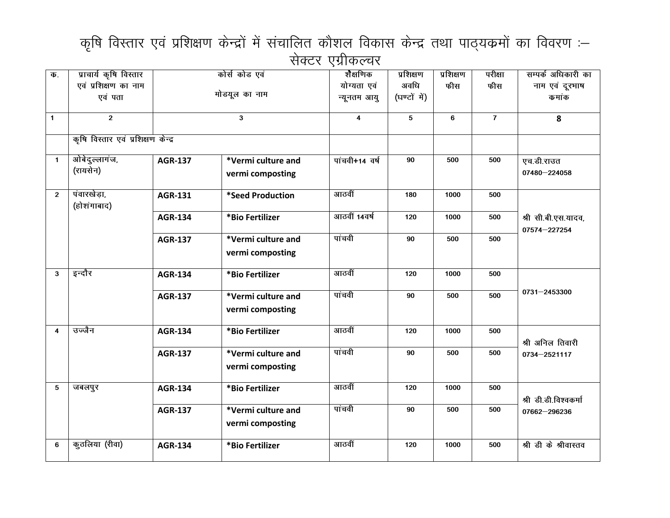## कृषि विस्तार एवं प्रशिक्षण केन्द्रों में संचालित कौशल विकास केन्द्र तथा पाठ्यक्रमों का विवरण :-सेक्टर एग्रीकल्चर

| $\overline{\Phi}$ . | प्राचार्य कृषि विस्तार             | कोर्स कोड एवं                                            |                                        | शैक्षणिक                | प्रशिक्षण    | प्रशिक्षण | परीक्षा        | सम्पर्क अधिकारी का                  |
|---------------------|------------------------------------|----------------------------------------------------------|----------------------------------------|-------------------------|--------------|-----------|----------------|-------------------------------------|
|                     | एवं प्रशिक्षण का नाम               |                                                          |                                        | योग्यता एवं             | अवधि         | फीस       | फीस            | नाम एवं दूरभाष                      |
|                     | एवं पता                            |                                                          | मोडयूल का नाम                          | न्यूनतम आयु             | (घण्टों में) |           |                | कमांक                               |
| $\mathbf{1}$        | $\overline{2}$                     |                                                          | 3                                      | $\overline{\mathbf{4}}$ | 5            | 6         | $\overline{7}$ | 8                                   |
|                     | कृषि विस्तार एवं प्रशिक्षण केन्द्र |                                                          |                                        |                         |              |           |                |                                     |
| $\mathbf{1}$        | ओबेदुल्लागंज,<br>(रायसेन)          | <b>AGR-137</b>                                           | *Vermi culture and<br>vermi composting | पांचवी+14 वर्ष          | 90           | 500       | 500            | एच.डी.राउत<br>07480-224058          |
| $\overline{2}$      | पंवारखेड़ा,<br>(होशंगाबाद)         | <b>AGR-131</b>                                           | *Seed Production                       | आठवीं                   | 180          | 1000      | 500            |                                     |
|                     |                                    | <b>AGR-134</b>                                           | *Bio Fertilizer                        | आठवीं 14वर्ष            | 120          | 1000      | 500            | श्री सी.बी.एस.यादव,<br>07574-227254 |
|                     |                                    | *Vermi culture and<br><b>AGR-137</b><br>vermi composting |                                        | पांचवी                  | 90           | 500       | 500            |                                     |
| 3                   | इन्दौर                             | <b>AGR-134</b>                                           | *Bio Fertilizer                        | आठवीं                   | 120          | 1000      | 500            |                                     |
|                     |                                    | <b>AGR-137</b>                                           | *Vermi culture and<br>vermi composting | पांचवी                  | 90           | 500       | 500            | 0731-2453300                        |
| 4                   | उज्जैन                             | <b>AGR-134</b>                                           | *Bio Fertilizer                        | आठवीं                   | 120          | 1000      | 500            | श्री अनिल तिवारी                    |
|                     |                                    | <b>AGR-137</b>                                           | *Vermi culture and<br>vermi composting | पांचवी                  | 90           | 500       | 500            | 0734-2521117                        |
| $\sqrt{5}$          | जबलपुर                             | <b>AGR-134</b>                                           | *Bio Fertilizer                        | आठवीं                   | 120          | 1000      | 500            | श्री डी.डी.विश्वकर्मा               |
|                     |                                    | <b>AGR-137</b>                                           | *Vermi culture and<br>vermi composting | पांचवी                  | 90           | 500       | 500            | 07662-296236                        |
| 6                   | कुठलिया (रीवा)                     | <b>AGR-134</b>                                           | *Bio Fertilizer                        | आठवीं                   | 120          | 1000      | 500            | श्री डी के श्रीवास्तव               |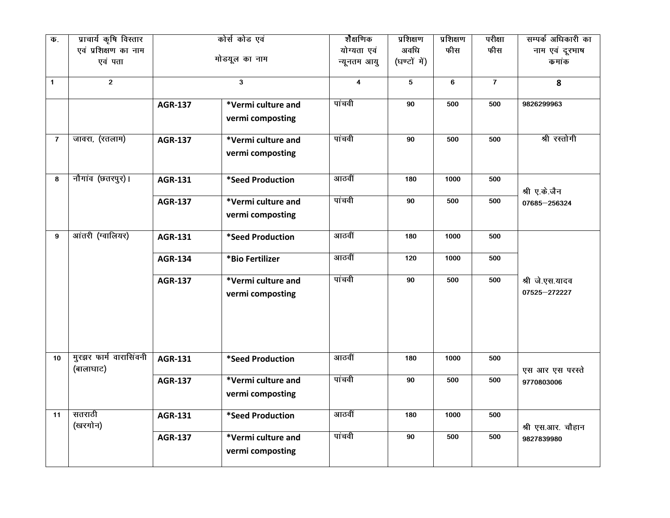| $\overline{\Phi}$ . | प्राचार्य कृषि विस्तार              | कोर्स कोड एवं  |                                        | शैक्षणिक                | प्रशिक्षण    | प्रशिक्षण | परीक्षा      | सम्पर्क अधिकारी का              |
|---------------------|-------------------------------------|----------------|----------------------------------------|-------------------------|--------------|-----------|--------------|---------------------------------|
|                     | एवं प्रशिक्षण का नाम                |                |                                        | योग्यता एवं             | अवधि         | फीस       | फीस          | नाम एवं दूरभाष                  |
|                     | एवं पता                             |                | मोडयूल का नाम                          | न्यूनतम आयु             | (घण्टों में) |           |              | कमांक                           |
| $\mathbf{1}$        | $\mathbf{2}$                        |                | $\mathbf{3}$                           | $\overline{\mathbf{4}}$ | 5            | 6         | $\mathbf{7}$ | 8                               |
|                     |                                     | <b>AGR-137</b> | *Vermi culture and<br>vermi composting | पांचवी                  | 90           | 500       | 500          | 9826299963                      |
| $\overline{7}$      | जावरा, (रतलाम)                      | <b>AGR-137</b> | *Vermi culture and<br>vermi composting | पांचवी                  | 90           | 500       | 500          | श्री रस्तोगी                    |
| 8                   | नौगांव (छत्तरपुर)।                  | <b>AGR-131</b> | *Seed Production                       | आठवीं                   | 180          | 1000      | 500          | श्री ए.के.जैन                   |
|                     |                                     | <b>AGR-137</b> | *Vermi culture and<br>vermi composting | पांचवी                  | 90           | 500       | 500          | 07685-256324                    |
| 9                   | आंतरी (ग्वालियर)                    | <b>AGR-131</b> | *Seed Production                       | आठवीं                   | 180          | 1000      | 500          |                                 |
|                     |                                     | <b>AGR-134</b> | *Bio Fertilizer                        | आठवीं                   | 120          | 1000      | 500          |                                 |
|                     |                                     | <b>AGR-137</b> | *Vermi culture and<br>vermi composting | पांचवी                  | 90           | 500       | 500          | श्री जे.एस.यादव<br>07525-272227 |
| 10 <sup>1</sup>     | मुरझर फार्म वारासिंवनी<br>(बालाघाट) | <b>AGR-131</b> | *Seed Production                       | आठवीं                   | 180          | 1000      | 500          | एस आर एस परस्ते                 |
|                     |                                     | <b>AGR-137</b> | *Vermi culture and<br>vermi composting | पांचवी                  | 90           | 500       | 500          | 9770803006                      |
| 11                  | सतराठी<br>(खरगोन)                   | <b>AGR-131</b> | *Seed Production                       | आठवीं                   | 180          | 1000      | 500          | श्री एस.आर. चौहान               |
|                     |                                     | <b>AGR-137</b> | *Vermi culture and<br>vermi composting | पांचवी                  | 90           | 500       | 500          | 9827839980                      |
|                     |                                     |                |                                        |                         |              |           |              |                                 |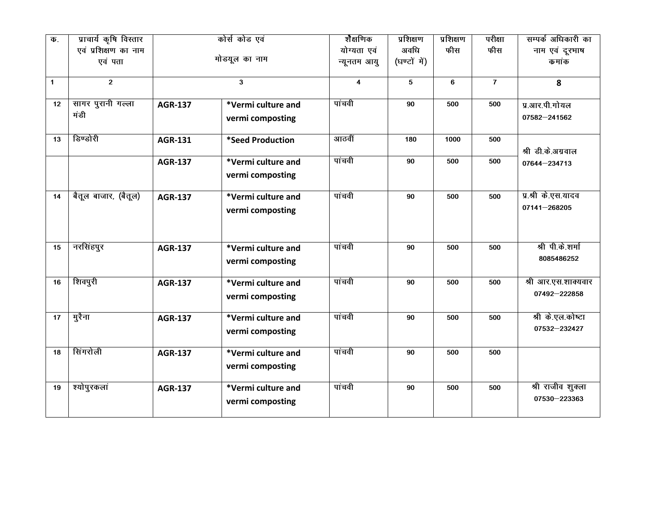| क.           | प्राचार्य कृषि विस्तार    | कोर्स कोड एवं  |                                        | शैक्षणिक                | प्रशिक्षण    | प्रशिक्षण | परीक्षा        | सम्पर्क अधिकारी का                  |
|--------------|---------------------------|----------------|----------------------------------------|-------------------------|--------------|-----------|----------------|-------------------------------------|
|              | एवं प्रशिक्षण का नाम      |                |                                        | योग्यता एवं             | अवधि         | फीस       | फीस            | नाम एवं दूरभाष                      |
|              | एवं पता                   |                | मोडयूल का नाम                          | न्यूनतम आयु             | (घण्टों में) |           |                | कमांक                               |
| $\mathbf{1}$ | $2^{\circ}$               |                | 3                                      | $\overline{\mathbf{4}}$ | 5            | 6         | $\overline{7}$ | 8                                   |
| 12           | सागर पुरानी गल्ला<br>मंडी | <b>AGR-137</b> | *Vermi culture and<br>vermi composting | पांचवी                  | 90           | 500       | 500            | प्र.आर.पी.गोयल<br>07582-241562      |
| 13           | डिण्डोरी                  | <b>AGR-131</b> | *Seed Production                       | आठवीं                   | 180          | 1000      | 500            | श्री डी.के.अग्रवाल                  |
|              |                           | <b>AGR-137</b> | *Vermi culture and<br>vermi composting | पांचवी                  | 90           | 500       | 500            | 07644-234713                        |
| 14           | बैतूल बाजार, (बैतूल)      | <b>AGR-137</b> | *Vermi culture and<br>vermi composting | पांचवी                  | 90           | 500       | 500            | प्र.श्री के.एस.यादव<br>07141-268205 |
| 15           | नरसिंहपुर                 | <b>AGR-137</b> | *Vermi culture and<br>vermi composting | पांचवी                  | 90           | 500       | 500            | श्री पी.के.शर्मा<br>8085486252      |
| 16           | शिवपुरी                   | <b>AGR-137</b> | *Vermi culture and<br>vermi composting | पांचवी                  | 90           | 500       | 500            | श्री आर.एस.शाक्यवार<br>07492-222858 |
| 17           | मुरैना                    | <b>AGR-137</b> | *Vermi culture and<br>vermi composting | पांचवी                  | 90           | 500       | 500            | श्री के.एल.कोष्टा<br>07532-232427   |
| 18           | सिंगरोली                  | <b>AGR-137</b> | *Vermi culture and<br>vermi composting | पांचवी                  | 90           | 500       | 500            |                                     |
| 19           | श्योपुरकलां               | <b>AGR-137</b> | *Vermi culture and<br>vermi composting | पांचवी                  | 90           | 500       | 500            | श्री राजीव शुक्ला<br>07530-223363   |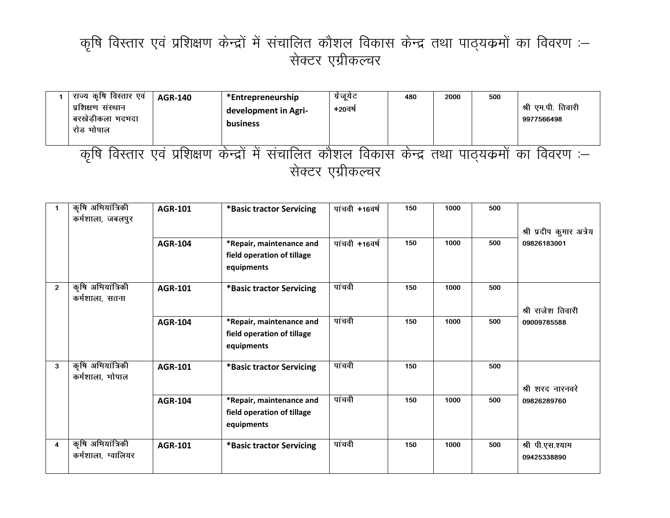## कृषि विस्तार एवं प्रशिक्षण केन्द्रों में संचालित कौशल विकास केन्द्र तथा पाठ्यक्रमों का विवरण :— सेक्टर एग्रीकल्चर

| राज्य कृषि विस्तार एवं<br>प्रशिक्षण संस्थान<br>बरखेड़ीकला भदभदा<br>रोड भोपाल | <b>AGR-140</b> | *Entrepreneurship<br>development in Agri-<br>business                         | ग्रेजूयेट<br>+20वर्ष | 480 | 2000 | 500 | श्री एम.पी. तिवारी<br>9977566498 |  |  |
|------------------------------------------------------------------------------|----------------|-------------------------------------------------------------------------------|----------------------|-----|------|-----|----------------------------------|--|--|
| कषि                                                                          |                | विस्तार एवं प्रशिक्षण केन्द्रों में संचालित कौशल विकास केन्द्र तथा पाठ्यकर्मा |                      |     |      |     | का<br>विवरण :—                   |  |  |
| सक्टर एंग्रीकल्चर                                                            |                |                                                                               |                      |     |      |     |                                  |  |  |

|                | कृषि अभियांत्रिकी<br>कर्मशाला, जबलपुर   | <b>AGR-101</b> | *Basic tractor Servicing                                             | पांचवी +16वर्ष | 150 | 1000 | 500 |                                 |
|----------------|-----------------------------------------|----------------|----------------------------------------------------------------------|----------------|-----|------|-----|---------------------------------|
|                |                                         |                |                                                                      |                |     |      |     | श्री प्रदीप कुमार अत्रेय        |
|                |                                         | <b>AGR-104</b> | *Repair, maintenance and<br>field operation of tillage<br>equipments | पांचवी +16वर्ष | 150 | 1000 | 500 | 09826183001                     |
| $\overline{2}$ | कृषि अभियांत्रिकी<br>कर्मशाला, सतना     | <b>AGR-101</b> | *Basic tractor Servicing                                             | पांचवी         | 150 | 1000 | 500 | श्री राजेश तिवारी               |
|                |                                         | <b>AGR-104</b> | *Repair, maintenance and<br>field operation of tillage<br>equipments | पांचवी         | 150 | 1000 | 500 | 09009785588                     |
| 3              | कृषि अभियांत्रिकी<br>कर्मशाला, भोपाल    | <b>AGR-101</b> | *Basic tractor Servicing                                             | पांचवी         | 150 |      | 500 | श्री शरद नारनवरे                |
|                |                                         | <b>AGR-104</b> | *Repair, maintenance and<br>field operation of tillage<br>equipments | पांचवी         | 150 | 1000 | 500 | 09826289760                     |
| 4              | कृषि अभियांत्रिकी<br>कर्मशाला, ग्वालियर | <b>AGR-101</b> | *Basic tractor Servicing                                             | पांचवी         | 150 | 1000 | 500 | श्री पी.एस.श्याम<br>09425338890 |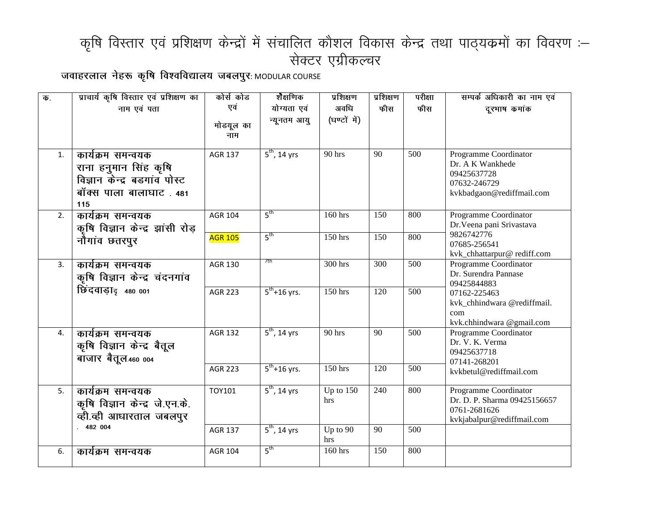## कृषि विस्तार एवं प्रशिक्षण केन्द्रों में संचालित कौशल विकास केन्द्र तथा पाठ्यक्रमों का विवरण :-सेक्टर एग्रीकल्चर

**tokgjyky usg: d`f"k fo'ofo|ky; tcyiqj**: MODULAR COURSE

| $\overline{\Phi}$ . | प्राचार्य कृषि विस्तार एवं प्रशिक्षण का                                                                      | कोर्स कोड        | शैक्षणिक                     | प्रशिक्षण          | प्रशिक्षण       | परीक्षा | सम्पर्क अधिकारी का नाम एवं                                                                            |
|---------------------|--------------------------------------------------------------------------------------------------------------|------------------|------------------------------|--------------------|-----------------|---------|-------------------------------------------------------------------------------------------------------|
|                     | नाम एवं पता                                                                                                  | एवं              | योग्यता एवं                  | अवधि               | फीस             | फीस     | दूरभाष कमांक                                                                                          |
|                     |                                                                                                              | मोडयूल का<br>नाम | न्यूनतम आयु                  | (घण्टों में)       |                 |         |                                                                                                       |
| 1.                  | कार्यक्रम समन्वयक<br>राना हनुमान सिंह कृषि<br>विज्ञान केन्द्र बडगांव पोस्ट<br>बॉक्स पाला बालाघाट. 481<br>115 | AGR 137          | $\overline{5^{th}}$ , 14 yrs | 90 hrs             | 90              | 500     | Programme Coordinator<br>Dr. A K Wankhede<br>09425637728<br>07632-246729<br>kvkbadgaon@rediffmail.com |
| 2.                  | कार्यक्रम समन्वयक<br>कृषि विज्ञान केन्द्र झांसी रोड़                                                         | <b>AGR 104</b>   | 5 <sup>th</sup>              | 160 hrs            | 150             | 800     | Programme Coordinator<br>Dr. Veena pani Srivastava                                                    |
|                     | नौगांव छतरपुर                                                                                                | <b>AGR 105</b>   | $5^{\text{th}}$              | 150 hrs            | 150             | 800     | 9826742776<br>07685-256541<br>kvk_chhattarpur@rediff.com                                              |
| 3.                  | कार्यक्रम समन्वयक<br>कृषि विज्ञान केन्द्र चंदनगांव                                                           | <b>AGR 130</b>   | 7th                          | 300 hrs            | 300             | 500     | Programme Coordinator<br>Dr. Surendra Pannase<br>09425844883                                          |
|                     | छिंदवाडा <sub>द 480</sub> 001                                                                                | <b>AGR 223</b>   | $\frac{1}{5^{th}} + 16$ yrs. | 150 hrs            | 120             | 500     | 07162-225463<br>kvk_chhindwara @rediffmail.<br>com<br>kvk.chhindwara @gmail.com                       |
| 4.                  | कार्यक्रम समन्वयक<br>कृषि विज्ञान केन्द्र बैतूल<br>बाजार बैतूल 460 004                                       | <b>AGR 132</b>   | $5th$ , 14 yrs               | $90$ hrs           | $\overline{90}$ | 500     | Programme Coordinator<br>Dr. V. K. Verma<br>09425637718<br>07141-268201                               |
|                     |                                                                                                              | <b>AGR 223</b>   | $5^{th}$ +16 yrs.            | $150$ hrs          | 120             | 500     | kvkbetul@rediffmail.com                                                                               |
| 5.                  | कार्यक्रम समन्वयक<br>कृषि विज्ञान केन्द्र जे.एन.के.<br>व्ही.व्ही आधारताल जबलपुर                              | TOY101           | $5th$ , 14 yrs               | Up to $150$<br>hrs | 240             | 800     | Programme Coordinator<br>Dr. D. P. Sharma 09425156657<br>0761-2681626<br>kvkjabalpur@rediffmail.com   |
|                     | .482004                                                                                                      | <b>AGR 137</b>   | $5^{\text{th}}$ , 14 yrs     | Up to 90<br>hrs    | 90              | 500     |                                                                                                       |
| 6.                  | कार्यक्रम समन्वयक                                                                                            | <b>AGR 104</b>   | 5 <sup>th</sup>              | 160 hrs            | 150             | 800     |                                                                                                       |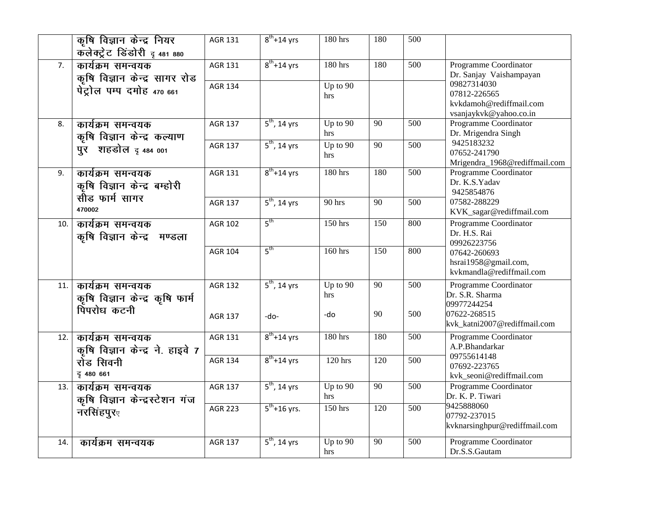|                  | कृषि विज्ञान केन्द्र नियर        | AGR 131        | $8th+14$ yrs             | 180 hrs      | 180              | 500              |                                                   |
|------------------|----------------------------------|----------------|--------------------------|--------------|------------------|------------------|---------------------------------------------------|
|                  | कलेक्ट्रेट डिंडोरी द 481 880     |                |                          |              |                  |                  |                                                   |
| $\overline{7}$ . | कार्यक्रम समन्वयक                | <b>AGR 131</b> | $8th+14$ yrs             | 180 hrs      | 180              | 500              | Programme Coordinator                             |
|                  | कृषि विज्ञान केन्द्र सागर रोड    |                |                          |              |                  |                  | Dr. Sanjay Vaishampayan                           |
|                  | पेट्रोल पम्प दमोह 470 661        | <b>AGR 134</b> |                          | Up to $90$   |                  |                  | 09827314030<br>07812-226565                       |
|                  |                                  |                |                          | hrs          |                  |                  | kvkdamoh@rediffmail.com                           |
|                  |                                  |                |                          |              |                  |                  | vsanjaykvk@yahoo.co.in                            |
| 8.               | कार्यक्रम समन्वयक                | <b>AGR 137</b> | $5th$ , 14 yrs           | $Up$ to $90$ | $\overline{90}$  | $\overline{500}$ | Programme Coordinator                             |
|                  | कृषि विज्ञान केन्द्र कल्याण      |                |                          | hrs          |                  |                  | Dr. Mrigendra Singh                               |
|                  | पुर शहडोल द 484 001              | <b>AGR 137</b> | $5th$ , 14 yrs           | Up to $90$   | $\overline{90}$  | 500              | 9425183232<br>07652-241790                        |
|                  |                                  |                |                          | hrs          |                  |                  | Mrigendra_1968@rediffmail.com                     |
| 9.               | कार्यक्रम समन्वयक                | <b>AGR 131</b> | $8th+14$ yrs             | 180 hrs      | 180              | $\overline{500}$ | Programme Coordinator                             |
|                  | कृषि विज्ञान केन्द्र बम्होरी     |                |                          |              |                  |                  | Dr. K.S.Yadav                                     |
|                  | सौड फार्म सागर                   |                |                          |              |                  |                  | 9425854876                                        |
|                  | 470002                           | <b>AGR 137</b> | $5th$ , 14 yrs           | 90 hrs       | $\overline{90}$  | 500              | 07582-288229                                      |
|                  |                                  | <b>AGR 102</b> | $5^{\text{th}}$          | $150$ hrs    | $\overline{150}$ | 800              | KVK_sagar@rediffmail.com<br>Programme Coordinator |
| 10.              | कार्यक्रम समन्वयक                |                |                          |              |                  |                  | Dr. H.S. Rai                                      |
|                  | कृषि विज्ञान केन्द्र मण्डला      |                |                          |              |                  |                  | 09926223756                                       |
|                  |                                  | <b>AGR 104</b> | 5 <sup>th</sup>          | 160 hrs      | 150              | 800              | 07642-260693                                      |
|                  |                                  |                |                          |              |                  |                  | hsrai1958@gmail.com,                              |
|                  |                                  |                |                          |              |                  |                  | kvkmandla@rediffmail.com                          |
| 11.              | कार्यक्रम समन्वयक                | <b>AGR 132</b> | $5th$ , 14 yrs           | Up to $90$   | 90               | 500              | Programme Coordinator                             |
|                  | कृषि विज्ञान केन्द्र कृषि फार्म  |                |                          | hrs          |                  |                  | Dr. S.R. Sharma<br>09977244254                    |
|                  | पिपरोध कटनी                      | <b>AGR 137</b> | -do-                     | -do          | 90               | 500              | 07622-268515                                      |
|                  |                                  |                |                          |              |                  |                  | kvk_katni2007@rediffmail.com                      |
| 12.              | कार्यक्रम समन्वयक                | AGR 131        | $8^{th}$ +14 yrs         | 180 hrs      | 180              | 500              | Programme Coordinator                             |
|                  | कृषि विज्ञान केन्द्र ने. हाइवे 7 |                |                          |              |                  |                  | A.P.Bhandarkar                                    |
|                  | रोड सिवनी                        | <b>AGR 134</b> | $8th+14$ yrs             | 120 hrs      | 120              | 500              | 09755614148                                       |
|                  | ट्र 480 661                      |                |                          |              |                  |                  | 07692-223765<br>kvk_seoni@rediffmail.com          |
| 13.              | कार्यक्रम समन्वयक                | <b>AGR 137</b> | $5^{\text{th}}$ , 14 yrs | Up to $90$   | $\overline{90}$  | 500              | Programme Coordinator                             |
|                  | कृषि विज्ञान केन्द्रस्टेशन गंज   |                |                          | hrs          |                  |                  | Dr. K. P. Tiwari                                  |
|                  | नरसिंहपुरु                       | <b>AGR 223</b> | $5^{th}$ +16 yrs.        | 150 hrs      | 120              | 500              | 9425888060                                        |
|                  |                                  |                |                          |              |                  |                  | 07792-237015                                      |
|                  |                                  |                |                          |              |                  |                  | kvknarsinghpur@rediffmail.com                     |
| 14.              | कार्यक्रम समन्वयक                | <b>AGR 137</b> | $5th$ , 14 yrs           | Up to 90     | 90               | 500              | Programme Coordinator                             |
|                  |                                  |                |                          | hrs          |                  |                  | Dr.S.S.Gautam                                     |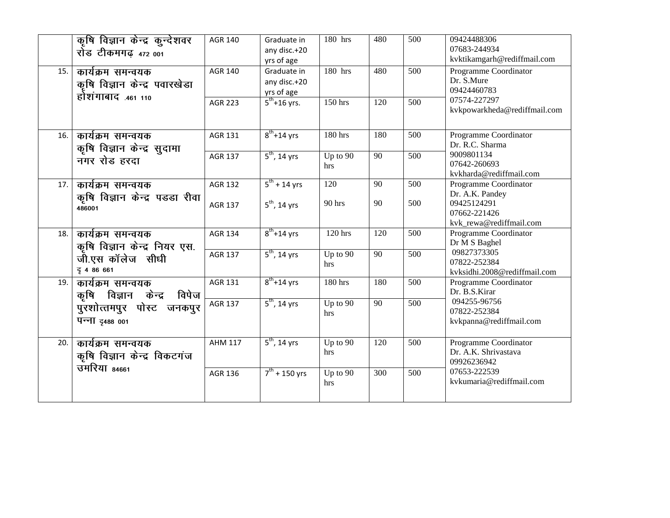|     | कृषि विज्ञान केन्द्र कुन्देशवर<br>रोड टीकमगढ़ 472 001                    | <b>AGR 140</b>                   | Graduate in<br>any disc.+20<br>yrs of age            | 180 hrs           | 480              | 500        | 09424488306<br>07683-244934<br>kvktikamgarh@rediffmail.com                                         |
|-----|--------------------------------------------------------------------------|----------------------------------|------------------------------------------------------|-------------------|------------------|------------|----------------------------------------------------------------------------------------------------|
| 15. | कार्यक्रम समन्वयक<br>कृषि विज्ञान केन्द्र पवारखेडा<br>होशंगाबाद .461 110 | <b>AGR 140</b>                   | Graduate in<br>any disc.+20<br>yrs of age            | 180 hrs           | 480              | 500        | Programme Coordinator<br>Dr. S.Mure<br>09424460783                                                 |
|     |                                                                          | <b>AGR 223</b>                   | $5^{th}$ +16 yrs.                                    | $150$ hrs         | 120              | 500        | 07574-227297<br>kvkpowarkheda@rediffmail.com                                                       |
| 16. | कार्यक्रम समन्वयक<br>कृषि विज्ञान केन्द्र सुदामा                         | <b>AGR 131</b>                   | $8^{\text{th}} + 14$ yrs                             | 180 hrs           | 180              | 500        | Programme Coordinator<br>Dr. R.C. Sharma                                                           |
|     | नगर रोड हरदा                                                             | <b>AGR 137</b>                   | $5th$ , 14 yrs                                       | Up to 90<br>hrs   | $\overline{90}$  | 500        | 9009801134<br>07642-260693<br>kvkharda@rediffmail.com                                              |
| 17. | कार्यक्रम समन्वयक<br>कृषि विज्ञान केन्द्र पडडा रीवा<br>486001            | <b>AGR 132</b><br><b>AGR 137</b> | $5^{\text{th}} + 14$ yrs<br>$5^{\text{th}}$ , 14 yrs | 120<br>90 hrs     | 90<br>90         | 500<br>500 | Programme Coordinator<br>Dr. A.K. Pandey<br>09425124291<br>07662-221426<br>kvk_rewa@rediffmail.com |
| 18. | कार्यक्रम समन्वयक                                                        | <b>AGR 134</b>                   | $8^{th}$ +14 yrs                                     | 120 hrs           | 120              | 500        | Programme Coordinator<br>Dr M S Baghel                                                             |
|     | कृषि विज्ञान केन्द्र नियर एस.<br>जी.एस कॉलेज सीधी<br>दू4 86 661          | <b>AGR 137</b>                   | $5th$ , 14 yrs                                       | Up to 90<br>hrs   | 90               | 500        | 09827373305<br>07822-252384<br>kvksidhi.2008@rediffmail.com                                        |
| 19. | कार्यक्रम समन्वयक<br>कृषि विज्ञान केन्द्र विपेज                          | <b>AGR 131</b>                   | $8^{th}$ +14 yrs                                     | $180$ hrs         | 180              | 500        | Programme Coordinator<br>Dr. B.S.Kirar                                                             |
|     | पुरशोत्तमपुर पोस्ट जनकपुर<br>पन्ना दृ488 001                             | AGR 137                          | $5th$ , 14 yrs                                       | Up to $90$<br>hrs | $\overline{90}$  | 500        | 094255-96756<br>07822-252384<br>kvkpanna@rediffmail.com                                            |
| 20. | कार्यक्रम समन्वयक<br>कृषि विज्ञान केन्द्र विकटगंज                        | <b>AHM 117</b>                   | $5th$ , 14 yrs                                       | Up to 90<br>hrs   | 120              | 500        | Programme Coordinator<br>Dr. A.K. Shrivastava<br>09926236942                                       |
|     | उमरिया 84661                                                             | <b>AGR 136</b>                   | $7^{th}$ + 150 yrs                                   | Up to 90<br>hrs   | $\overline{300}$ | 500        | 07653-222539<br>kvkumaria@rediffmail.com                                                           |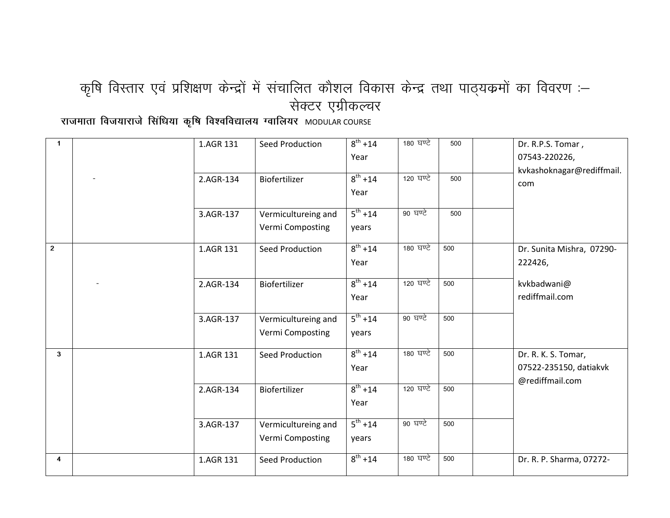## कृषि विस्तार एवं प्रशिक्षण केन्द्रों में संचालित कौशल विकास केन्द्र तथा पाठ्यक्रमों का विवरण :-सेक्टर एग्रीकल्चर

राजमाता विजयाराजे सिंधिया कृषि विश्वविद्यालय ग्वालियर MODULAR COURSE

| $\mathbf{1}$   | 1.AGR 131 | Seed Production     | $8^{th} + 14$ | 180 ਬਾਟੇ | 500 | Dr. R.P.S. Tomar,         |
|----------------|-----------|---------------------|---------------|----------|-----|---------------------------|
|                |           |                     | Year          |          |     | 07543-220226,             |
|                |           |                     |               |          |     | kvkashoknagar@rediffmail. |
|                | 2.AGR-134 | Biofertilizer       | $8^{th} + 14$ | 120 ਬਾਦੇ | 500 | com                       |
|                |           |                     | Year          |          |     |                           |
|                | 3.AGR-137 | Vermicultureing and | $5^{th} + 14$ | 90 घण्टे | 500 |                           |
|                |           | Vermi Composting    | years         |          |     |                           |
| $\overline{2}$ | 1.AGR 131 | Seed Production     | $8^{th} + 14$ | 180 ਬਾਟੇ | 500 | Dr. Sunita Mishra, 07290- |
|                |           |                     | Year          |          |     | 222426,                   |
|                | 2.AGR-134 | Biofertilizer       | $8^{th} + 14$ | 120 ਬਾਟੇ | 500 | kvkbadwani@               |
|                |           |                     | Year          |          |     | rediffmail.com            |
|                | 3.AGR-137 | Vermicultureing and | $5^{th} + 14$ | 90 घण्टे | 500 |                           |
|                |           | Vermi Composting    | years         |          |     |                           |
| 3 <sup>1</sup> | 1.AGR 131 | Seed Production     | $8^{th} + 14$ | 180 ਬਾਟੇ | 500 | Dr. R. K. S. Tomar,       |
|                |           |                     | Year          |          |     | 07522-235150, datiakvk    |
|                | 2.AGR-134 | Biofertilizer       | $8^{th} + 14$ | 120 ਬਾਟੇ | 500 | @rediffmail.com           |
|                |           |                     | Year          |          |     |                           |
|                | 3.AGR-137 | Vermicultureing and | $5^{th} + 14$ | 90 घण्टे | 500 |                           |
|                |           | Vermi Composting    | years         |          |     |                           |
| 4              | 1.AGR 131 | Seed Production     | $8^{th} + 14$ | 180 ਬਾਟੇ | 500 | Dr. R. P. Sharma, 07272-  |
|                |           |                     |               |          |     |                           |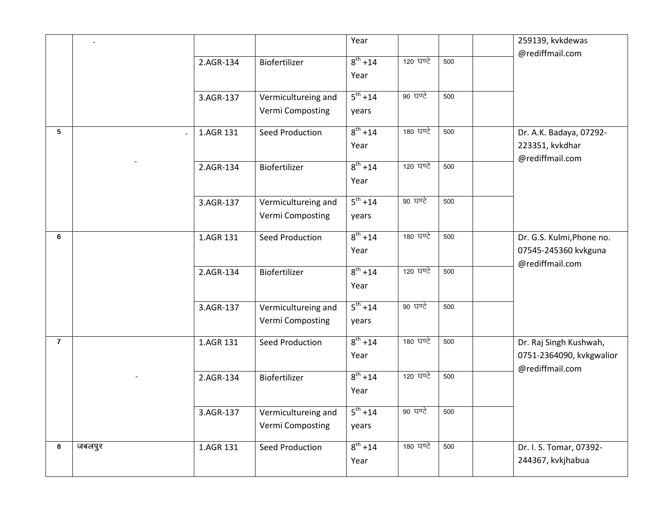|                |        |           |                        | Year          |           |     | 259139, kvkdewas          |
|----------------|--------|-----------|------------------------|---------------|-----------|-----|---------------------------|
|                |        | 2.AGR-134 | Biofertilizer          | $8^{th} + 14$ | 120 ਬਾਟੇ  | 500 | @rediffmail.com           |
|                |        |           |                        | Year          |           |     |                           |
|                |        |           |                        |               |           |     |                           |
|                |        | 3.AGR-137 | Vermicultureing and    | $5^{th} + 14$ | 90 घण्टे  | 500 |                           |
|                |        |           | Vermi Composting       | years         |           |     |                           |
| 5              |        | 1.AGR 131 | <b>Seed Production</b> | $8^{th} + 14$ | 180 ਬਾਟੇ  | 500 | Dr. A.K. Badaya, 07292-   |
|                |        |           |                        | Year          |           |     | 223351, kvkdhar           |
|                |        | 2.AGR-134 | Biofertilizer          | $8^{th} + 14$ | 120 ਬਾਟੇ  | 500 | @rediffmail.com           |
|                |        |           |                        | Year          |           |     |                           |
|                |        |           |                        |               |           |     |                           |
|                |        | 3.AGR-137 | Vermicultureing and    | $5^{th} + 14$ | 90 घण्टे  | 500 |                           |
|                |        |           | Vermi Composting       | years         |           |     |                           |
| 6              |        | 1.AGR 131 | Seed Production        | $8^{th} + 14$ | 180 ਬਾਟੇ  | 500 | Dr. G.S. Kulmi, Phone no. |
|                |        |           |                        | Year          |           |     | 07545-245360 kvkguna      |
|                |        | 2.AGR-134 | Biofertilizer          | $8^{th} + 14$ | 120 घण्टे | 500 | @rediffmail.com           |
|                |        |           |                        | Year          |           |     |                           |
|                |        |           |                        |               |           |     |                           |
|                |        | 3.AGR-137 | Vermicultureing and    | $5^{th} + 14$ | 90 घण्टे  | 500 |                           |
|                |        |           | Vermi Composting       | years         |           |     |                           |
| $\overline{7}$ |        | 1.AGR 131 | Seed Production        | $8^{th} + 14$ | 180 ਬਾਟੇ  | 500 | Dr. Raj Singh Kushwah,    |
|                |        |           |                        | Year          |           |     | 0751-2364090, kvkgwalior  |
|                |        | 2.AGR-134 | Biofertilizer          | $8^{th} + 14$ | 120 ਬਾਟੇ  | 500 | @rediffmail.com           |
|                |        |           |                        | Year          |           |     |                           |
|                |        |           |                        |               |           |     |                           |
|                |        | 3.AGR-137 | Vermicultureing and    | $5^{th} + 14$ | 90 घण्टे  | 500 |                           |
|                |        |           | Vermi Composting       | years         |           |     |                           |
| 8              | जबलपुर | 1.AGR 131 | Seed Production        | $8^{th}$ +14  | 180 ਬਾਟੇ  | 500 | Dr. I. S. Tomar, 07392-   |
|                |        |           |                        | Year          |           |     | 244367, kvkjhabua         |
|                |        |           |                        |               |           |     |                           |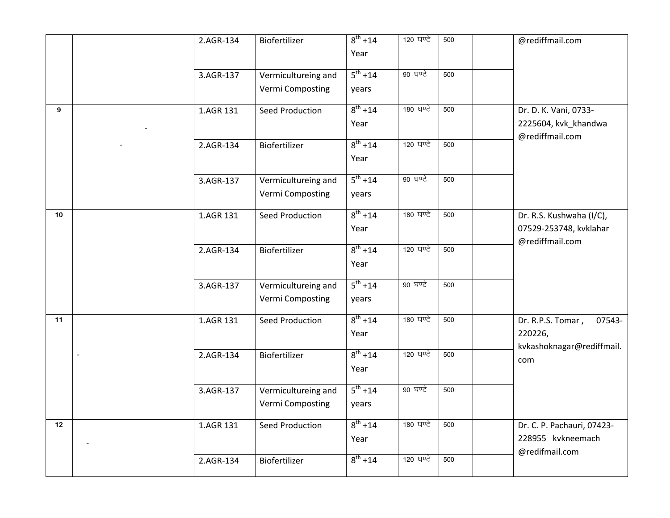|    | 2.AGR-134 | Biofertilizer                           | $8^{th} + 14$<br>Year  | 120 घण्टे | 500 | @rediffmail.com                                                       |
|----|-----------|-----------------------------------------|------------------------|-----------|-----|-----------------------------------------------------------------------|
|    | 3.AGR-137 | Vermicultureing and<br>Vermi Composting | $5^{th} + 14$<br>years | 90 घण्टे  | 500 |                                                                       |
| 9  | 1.AGR 131 | <b>Seed Production</b>                  | $8^{th} + 14$<br>Year  | 180 ਬਾਟੇ  | 500 | Dr. D. K. Vani, 0733-<br>2225604, kvk_khandwa<br>@rediffmail.com      |
|    | 2.AGR-134 | Biofertilizer                           | $8^{th} + 14$<br>Year  | 120 घण्टे | 500 |                                                                       |
|    | 3.AGR-137 | Vermicultureing and<br>Vermi Composting | $5^{th} + 14$<br>years | 90 घण्टे  | 500 |                                                                       |
| 10 | 1.AGR 131 | <b>Seed Production</b>                  | $8^{th} + 14$<br>Year  | 180 ਬਾਟੇ  | 500 | Dr. R.S. Kushwaha (I/C),<br>07529-253748, kvklahar<br>@rediffmail.com |
|    | 2.AGR-134 | Biofertilizer                           | $8^{th} + 14$<br>Year  | 120 घण्टे | 500 |                                                                       |
|    | 3.AGR-137 | Vermicultureing and<br>Vermi Composting | $5^{th} + 14$<br>years | 90 घण्टे  | 500 |                                                                       |
| 11 | 1.AGR 131 | <b>Seed Production</b>                  | $8^{th} + 14$<br>Year  | 180 ਬਾਟੇ  | 500 | Dr. R.P.S. Tomar,<br>07543-<br>220226,<br>kvkashoknagar@rediffmail.   |
|    | 2.AGR-134 | Biofertilizer                           | $8^{th} + 14$<br>Year  | 120 ਬਾਟੇ  | 500 | com                                                                   |
|    | 3.AGR-137 | Vermicultureing and<br>Vermi Composting | $5^{th} + 14$<br>years | 90 घण्टे  | 500 |                                                                       |
| 12 | 1.AGR 131 | <b>Seed Production</b>                  | $8^{th} + 14$<br>Year  | 180 ਬਾਟੇ  | 500 | Dr. C. P. Pachauri, 07423-<br>228955 kvkneemach<br>@redifmail.com     |
|    | 2.AGR-134 | Biofertilizer                           | $8^{th} + 14$          | 120 ਬਾਟੇ  | 500 |                                                                       |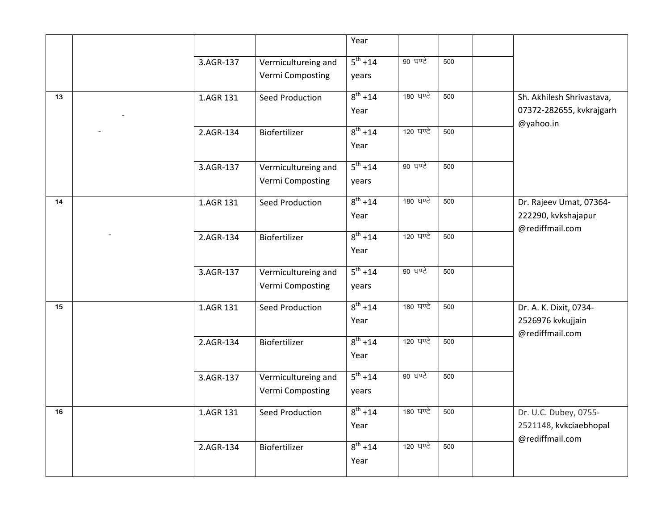|    |           |                                         | Year                   |           |     |                                                                    |
|----|-----------|-----------------------------------------|------------------------|-----------|-----|--------------------------------------------------------------------|
|    | 3.AGR-137 | Vermicultureing and<br>Vermi Composting | $5^{th} + 14$<br>years | 90 घण्टे  | 500 |                                                                    |
| 13 | 1.AGR 131 | Seed Production                         | $8^{th} + 14$<br>Year  | 180 ਬਾਟੇ  | 500 | Sh. Akhilesh Shrivastava,<br>07372-282655, kvkrajgarh<br>@yahoo.in |
|    | 2.AGR-134 | Biofertilizer                           | $8^{th} + 14$<br>Year  | 120 ਬਾਟੇ  | 500 |                                                                    |
|    | 3.AGR-137 | Vermicultureing and<br>Vermi Composting | $5^{th} + 14$<br>years | 90 घण्टे  | 500 |                                                                    |
| 14 | 1.AGR 131 | Seed Production                         | $8^{th} + 14$<br>Year  | 180 ਬਾਟੇ  | 500 | Dr. Rajeev Umat, 07364-<br>222290, kvkshajapur<br>@rediffmail.com  |
|    | 2.AGR-134 | Biofertilizer                           | $8^{th} + 14$<br>Year  | 120 घण्टे | 500 |                                                                    |
|    | 3.AGR-137 | Vermicultureing and<br>Vermi Composting | $5^{th} + 14$<br>years | 90 घण्टे  | 500 |                                                                    |
| 15 | 1.AGR 131 | <b>Seed Production</b>                  | $8^{th} + 14$<br>Year  | 180 ਬਾਏ   | 500 | Dr. A. K. Dixit, 0734-<br>2526976 kvkujjain<br>@rediffmail.com     |
|    | 2.AGR-134 | Biofertilizer                           | $8^{th} + 14$<br>Year  | 120 ਬਾਟੇ  | 500 |                                                                    |
|    | 3.AGR-137 | Vermicultureing and<br>Vermi Composting | $5^{th} + 14$<br>years | 90 घण्टे  | 500 |                                                                    |
| 16 | 1.AGR 131 | Seed Production                         | $8^{th} + 14$<br>Year  | 180 ਬਾਟੇ  | 500 | Dr. U.C. Dubey, 0755-<br>2521148, kvkciaebhopal<br>@rediffmail.com |
|    | 2.AGR-134 | Biofertilizer                           | $8^{th} + 14$<br>Year  | 120 ਬਾਟੇ  | 500 |                                                                    |